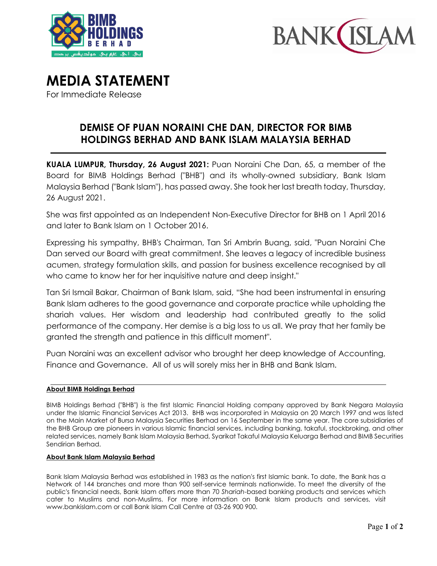



# **MEDIA STATEMENT**

For Immediate Release

## **DEMISE OF PUAN NORAINI CHE DAN, DIRECTOR FOR BIMB HOLDINGS BERHAD AND BANK ISLAM MALAYSIA BERHAD**

**KUALA LUMPUR, Thursday, 26 August 2021:** Puan Noraini Che Dan, 65, a member of the Board for BIMB Holdings Berhad ("BHB") and its wholly-owned subsidiary, Bank Islam Malaysia Berhad ("Bank Islam"), has passed away. She took her last breath today, Thursday, 26 August 2021.

She was first appointed as an Independent Non-Executive Director for BHB on 1 April 2016 and later to Bank Islam on 1 October 2016.

Expressing his sympathy, BHB's Chairman, Tan Sri Ambrin Buang, said, "Puan Noraini Che Dan served our Board with great commitment. She leaves a legacy of incredible business acumen, strategy formulation skills, and passion for business excellence recognised by all who came to know her for her inquisitive nature and deep insight."

Tan Sri Ismail Bakar, Chairman of Bank Islam, said, "She had been instrumental in ensuring Bank Islam adheres to the good governance and corporate practice while upholding the shariah values. Her wisdom and leadership had contributed greatly to the solid performance of the company. Her demise is a big loss to us all. We pray that her family be granted the strength and patience in this difficult moment".

Puan Noraini was an excellent advisor who brought her deep knowledge of Accounting, Finance and Governance. All of us will sorely miss her in BHB and Bank Islam.

### **About BIMB Holdings Berhad**

BIMB Holdings Berhad ("BHB") is the first Islamic Financial Holding company approved by Bank Negara Malaysia under the Islamic Financial Services Act 2013. BHB was incorporated in Malaysia on 20 March 1997 and was listed on the Main Market of Bursa Malaysia Securities Berhad on 16 September in the same year. The core subsidiaries of the BHB Group are pioneers in various Islamic financial services, including banking, takaful, stockbroking, and other related services, namely Bank Islam Malaysia Berhad, Syarikat Takaful Malaysia Keluarga Berhad and BIMB Securities Sendirian Berhad.

### **About Bank Islam Malaysia Berhad**

Bank Islam Malaysia Berhad was established in 1983 as the nation's first Islamic bank. To date, the Bank has a Network of 144 branches and more than 900 self-service terminals nationwide. To meet the diversity of the public's financial needs, Bank Islam offers more than 70 *Shariah*-based banking products and services which cater to Muslims and non-Muslims. For more information on Bank Islam products and services, visit [www.bankislam.com o](http://www.bankislam.com.my/)r call Bank Islam Call Centre at 03-26 900 900.